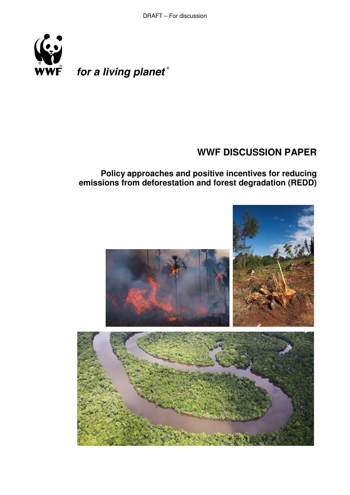

for a living planet®

# **WWF DISCUSSION PAPER**

**Policy approaches and positive incentives for reducing emissions from deforestation and forest degradation (REDD)** 

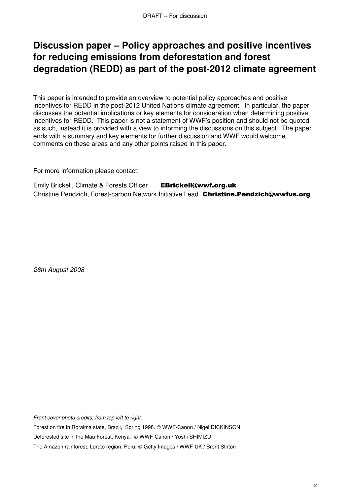# **Discussion paper – Policy approaches and positive incentives for reducing emissions from deforestation and forest degradation (REDD) as part of the post-2012 climate agreement**

This paper is intended to provide an overview to potential policy approaches and positive incentives for REDD in the post-2012 United Nations climate agreement. In particular, the paper discusses the potential implications or key elements for consideration when determining positive incentives for REDD. This paper is not a statement of WWF's position and should not be quoted as such, instead it is provided with a view to informing the discussions on this subject. The paper ends with a summary and key elements for further discussion and WWF would welcome comments on these areas and any other points raised in this paper.

For more information please contact:

Emily Brickell, Climate & Forests Officer EBrickell@wwf.org.uk Christine Pendzich, Forest-carbon Network Initiative Lead Christine.Pendzich@wwfus.org

26th August 2008

Front cover photo credits, from top left to right:

Forest on fire in Roraima state, Brazil, Spring 1998. © WWF-Canon / Nigel DICKINSON Deforested site in the Mau Forest, Kenya. © WWF-Canon / Yoshi SHIMIZU

The Amazon rainforest, Loreto region, Peru. © Getty Images / WWF-UK / Brent Stirton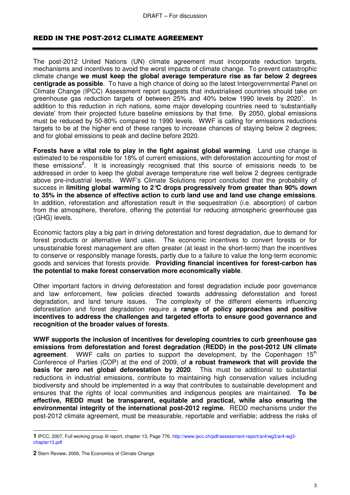## REDD IN THE POST-2012 CLIMATE AGREEMENT

The post-2012 United Nations (UN) climate agreement must incorporate reduction targets, mechanisms and incentives to avoid the worst impacts of climate change. To prevent catastrophic climate change **we must keep the global average temperature rise as far below 2 degrees centigrade as possible**. To have a high chance of doing so the latest Intergovernmental Panel on Climate Change (IPCC) Assessment report suggests that industrialised countries should take on greenhouse gas reduction targets of between 25% and 40% below 1990 levels by 2020<sup>1</sup>. In addition to this reduction in rich nations, some major developing countries need to 'substantially deviate' from their projected future baseline emissions by that time. By 2050, global emissions must be reduced by 50-80% compared to 1990 levels. WWF is calling for emissions reductions targets to be at the higher end of these ranges to increase chances of staying below 2 degrees; and for global emissions to peak and decline before 2020.

**Forests have a vital role to play in the fight against global warming**. Land use change is estimated to be responsible for 18% of current emissions, with deforestation accounting for most of these emissions**<sup>2</sup>** . It is increasingly recognised that this source of emissions needs to be addressed in order to keep the global average temperature rise well below 2 degrees centigrade above pre-industrial levels. WWF's Climate Solutions report concluded that the probability of success in **limiting global warming to 2°C drops progressively from greater than 90% down to 35% in the absence of effective action to curb land use and land use change emissions**. In addition, reforestation and afforestation result in the sequestration (i.e. absorption) of carbon from the atmosphere, therefore, offering the potential for reducing atmospheric greenhouse gas (GHG) levels.

Economic factors play a big part in driving deforestation and forest degradation, due to demand for forest products or alternative land uses. The economic incentives to convert forests or for unsustainable forest management are often greater (at least in the short-term) than the incentives to conserve or responsibly manage forests, partly due to a failure to value the long-term economic goods and services that forests provide. **Providing financial incentives for forest-carbon has the potential to make forest conservation more economically viable**.

Other important factors in driving deforestation and forest degradation include poor governance and law enforcement, few policies directed towards addressing deforestation and forest degradation, and land tenure issues. The complexity of the different elements influencing deforestation and forest degradation require a **range of policy approaches and positive incentives to address the challenges and targeted efforts to ensure good governance and recognition of the broader values of forests**.

**WWF supports the inclusion of incentives for developing countries to curb greenhouse gas emissions from deforestation and forest degradation (REDD) in the post-2012 UN climate agreement**. WWF calls on parties to support the development, by the Copenhagen 15<sup>th</sup> Conference of Parties (COP) at the end of 2009, of **a robust framework that will provide the basis for zero net global deforestation by 2020**. This must be additional to substantial reductions in industrial emissions, contribute to maintaining high conservation values including biodiversity and should be implemented in a way that contributes to sustainable development and ensures that the rights of local communities and indigenous peoples are maintained. **To be effective, REDD must be transparent, equitable and practical, while also ensuring the environmental integrity of the international post-2012 regime.** REDD mechanisms under the post-2012 climate agreement, must be measurable, reportable and verifiable; address the risks of

 $\overline{a}$ 

**<sup>1</sup>** IPCC, 2007, Full working group III report, chapter 13, Page 776, http://www.ipcc.ch/pdf/assessment-report/ar4/wg3/ar4-wg3 chapter13.pdf

**<sup>2</sup>** Stern Review, 2006, The Economics of Climate Change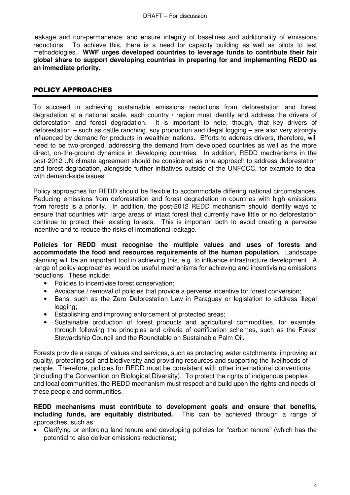leakage and non-permanence; and ensure integrity of baselines and additionality of emissions reductions. To achieve this, there is a need for capacity building as well as pilots to test methodologies. **WWF urges developed countries to leverage funds to contribute their fair global share to support developing countries in preparing for and implementing REDD as an immediate priority.**

# POLICY APPROACHES

To succeed in achieving sustainable emissions reductions from deforestation and forest degradation at a national scale, each country / region must identify and address the drivers of deforestation and forest degradation. It is important to note, though, that key drivers of deforestation – such as cattle ranching, soy production and illegal logging – are also very strongly influenced by demand for products in wealthier nations. Efforts to address drivers, therefore, will need to be two-pronged, addressing the demand from developed countries as well as the more direct, on-the-ground dynamics in developing countries. In addition, REDD mechanisms in the post-2012 UN climate agreement should be considered as one approach to address deforestation and forest degradation, alongside further initiatives outside of the UNFCCC, for example to deal with demand-side issues.

Policy approaches for REDD should be flexible to accommodate differing national circumstances. Reducing emissions from deforestation and forest degradation in countries with high emissions from forests is a priority. In addition, the post-2012 REDD mechanism should identify ways to ensure that countries with large areas of intact forest that currently have little or no deforestation continue to protect their existing forests. This is important both to avoid creating a perverse incentive and to reduce the risks of international leakage.

**Policies for REDD must recognise the multiple values and uses of forests and accommodate the food and resources requirements of the human population.** Landscape planning will be an important tool in achieving this, e.g. to influence infrastructure development. A range of policy approaches would be useful mechanisms for achieving and incentivising emissions reductions. These include:

- Policies to incentivise forest conservation;
- Avoidance / removal of policies that provide a perverse incentive for forest conversion;
- Bans, such as the Zero Deforestation Law in Paraguay or legislation to address illegal logging:
- Establishing and improving enforcement of protected areas;
- Sustainable production of forest products and agricultural commodities, for example, through following the principles and criteria of certification schemes, such as the Forest Stewardship Council and the Roundtable on Sustainable Palm Oil.

Forests provide a range of values and services, such as protecting water catchments, improving air quality, protecting soil and biodiversity and providing resources and supporting the livelihoods of people. Therefore, policies for REDD must be consistent with other international conventions (including the Convention on Biological Diversity). To protect the rights of indigenous peoples and local communities, the REDD mechanism must respect and build upon the rights and needs of these people and communities.

#### **REDD mechanisms must contribute to development goals and ensure that benefits, including funds, are equitably distributed.** This can be achieved through a range of approaches, such as:

• Clarifying or enforcing land tenure and developing policies for "carbon tenure" (which has the potential to also deliver emissions reductions);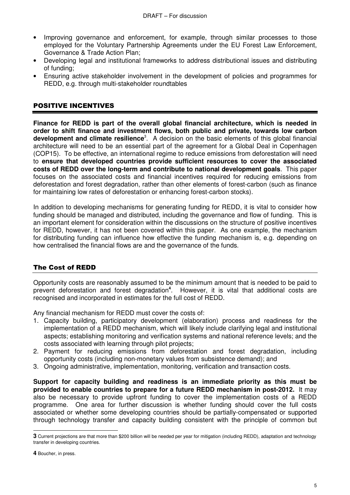- Improving governance and enforcement, for example, through similar processes to those employed for the Voluntary Partnership Agreements under the EU Forest Law Enforcement, Governance & Trade Action Plan;
- Developing legal and institutional frameworks to address distributional issues and distributing of funding;
- Ensuring active stakeholder involvement in the development of policies and programmes for REDD, e.g. through multi-stakeholder roundtables

# POSITIVE INCENTIVES

**Finance for REDD is part of the overall global financial architecture, which is needed in order to shift finance and investment flows, both public and private, towards low carbon**  development and climate resilience<sup>3</sup>. A decision on the basic elements of this global financial architecture will need to be an essential part of the agreement for a Global Deal in Copenhagen (COP15). To be effective, an international regime to reduce emissions from deforestation will need to **ensure that developed countries provide sufficient resources to cover the associated costs of REDD over the long-term and contribute to national development goals**. This paper focuses on the associated costs and financial incentives required for reducing emissions from deforestation and forest degradation, rather than other elements of forest-carbon (such as finance for maintaining low rates of deforestation or enhancing forest-carbon stocks).

In addition to developing mechanisms for generating funding for REDD, it is vital to consider how funding should be managed and distributed, including the governance and flow of funding. This is an important element for consideration within the discussions on the structure of positive incentives for REDD, however, it has not been covered within this paper. As one example, the mechanism for distributing funding can influence how effective the funding mechanism is, e.g. depending on how centralised the financial flows are and the governance of the funds.

# The Cost of REDD

Opportunity costs are reasonably assumed to be the minimum amount that is needed to be paid to prevent deforestation and forest degradation**<sup>4</sup>** . However, it is vital that additional costs are recognised and incorporated in estimates for the full cost of REDD.

Any financial mechanism for REDD must cover the costs of:

- 1. Capacity building, participatory development (elaboration) process and readiness for the implementation of a REDD mechanism, which will likely include clarifying legal and institutional aspects; establishing monitoring and verification systems and national reference levels; and the costs associated with learning through pilot projects;
- 2. Payment for reducing emissions from deforestation and forest degradation, including opportunity costs (including non-monetary values from subsistence demand); and
- 3. Ongoing administrative, implementation, monitoring, verification and transaction costs.

**Support for capacity building and readiness is an immediate priority as this must be provided to enable countries to prepare for a future REDD mechanism in post-2012.** It may also be necessary to provide upfront funding to cover the implementation costs of a REDD programme. One area for further discussion is whether funding should cover the full costs associated or whether some developing countries should be partially-compensated or supported through technology transfer and capacity building consistent with the principle of common but

 $\overline{a}$ **3** Current projections are that more than \$200 billion will be needed per year for mitigation (including REDD), adaptation and technology transfer in developing countries.

**<sup>4</sup>** Boucher, in press.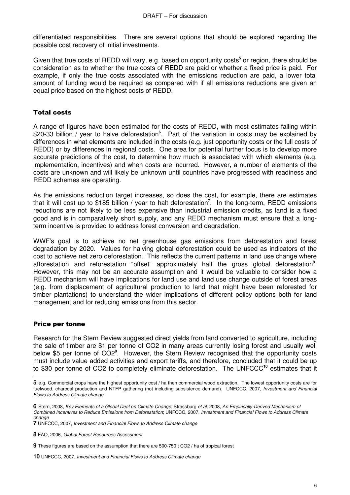differentiated responsibilities. There are several options that should be explored regarding the possible cost recovery of initial investments.

Given that true costs of REDD will vary, e.g. based on opportunity costs<sup>5</sup> or region, there should be consideration as to whether the true costs of REDD are paid or whether a fixed price is paid. For example, if only the true costs associated with the emissions reduction are paid, a lower total amount of funding would be required as compared with if all emissions reductions are given an equal price based on the highest costs of REDD.

#### Total costs

A range of figures have been estimated for the costs of REDD, with most estimates falling within \$20-33 billion / year to halve deforestation<sup>6</sup>. Part of the variation in costs may be explained by differences in what elements are included in the costs (e.g. just opportunity costs or the full costs of REDD) or by differences in regional costs. One area for potential further focus is to develop more accurate predictions of the cost, to determine how much is associated with which elements (e.g. implementation, incentives) and when costs are incurred. However, a number of elements of the costs are unknown and will likely be unknown until countries have progressed with readiness and REDD schemes are operating.

As the emissions reduction target increases, so does the cost, for example, there are estimates that it will cost up to \$185 billion / year to halt deforestation**<sup>7</sup>** . In the long-term, REDD emissions reductions are not likely to be less expensive than industrial emission credits, as land is a fixed good and is in comparatively short supply, and any REDD mechanism must ensure that a longterm incentive is provided to address forest conversion and degradation.

WWF's goal is to achieve no net greenhouse gas emissions from deforestation and forest degradation by 2020. Values for halving global deforestation could be used as indicators of the cost to achieve net zero deforestation. This reflects the current patterns in land use change where afforestation and reforestation "offset" approximately half the gross global deforestation**<sup>8</sup>** . However, this may not be an accurate assumption and it would be valuable to consider how a REDD mechanism will have implications for land use and land use change outside of forest areas (e.g. from displacement of agricultural production to land that might have been reforested for timber plantations) to understand the wider implications of different policy options both for land management and for reducing emissions from this sector.

#### Price per tonne

 $\overline{a}$ 

Research for the Stern Review suggested direct yields from land converted to agriculture, including the sale of timber are \$1 per tonne of CO2 in many areas currently losing forest and usually well below \$5 per tonne of CO2**<sup>9</sup>** . However, the Stern Review recognised that the opportunity costs must include value added activities and export tariffs, and therefore, concluded that it could be up to \$30 per tonne of CO2 to completely eliminate deforestation. The UNFCCC**<sup>10</sup>** estimates that it

**<sup>5</sup>** e.g. Commercial crops have the highest opportunity cost / ha then commercial wood extraction. The lowest opportunity costs are for fuelwood, charcoal production and NTFP gathering (not including subsistence demand). UNFCCC, 2007, Investment and Financial Flows to Address Climate change

**<sup>6</sup>** Stern, 2008, Key Elements of a Global Deal on Climate Change; Strassburg et al, 2008, An Empirically-Derived Mechanism of Combined Incentives to Reduce Emissions from Deforestation; UNFCCC, 2007, Investment and Financial Flows to Address Climate change

**<sup>7</sup>** UNFCCC, 2007, Investment and Financial Flows to Address Climate change

**<sup>8</sup>** FAO, 2006, Global Forest Resources Assessment

**<sup>9</sup>** These figures are based on the assumption that there are 500-750 t CO2 / ha of tropical forest

**<sup>10</sup>** UNFCCC, 2007, Investment and Financial Flows to Address Climate change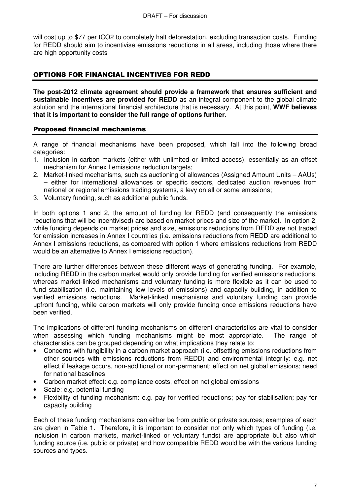will cost up to \$77 per tCO2 to completely halt deforestation, excluding transaction costs. Funding for REDD should aim to incentivise emissions reductions in all areas, including those where there are high opportunity costs

# OPTIONS FOR FINANCIAL INCENTIVES FOR REDD

**The post-2012 climate agreement should provide a framework that ensures sufficient and sustainable incentives are provided for REDD** as an integral component to the global climate solution and the international financial architecture that is necessary. At this point, **WWF believes that it is important to consider the full range of options further.**

## Proposed financial mechanisms

A range of financial mechanisms have been proposed, which fall into the following broad categories:

- 1. Inclusion in carbon markets (either with unlimited or limited access), essentially as an offset mechanism for Annex I emissions reduction targets;
- 2. Market-linked mechanisms, such as auctioning of allowances (Assigned Amount Units AAUs) – either for international allowances or specific sectors, dedicated auction revenues from national or regional emissions trading systems, a levy on all or some emissions;
- 3. Voluntary funding, such as additional public funds.

In both options 1 and 2, the amount of funding for REDD (and consequently the emissions reductions that will be incentivised) are based on market prices and size of the market. In option 2, while funding depends on market prices and size, emissions reductions from REDD are not traded for emission increases in Annex I countries (i.e. emissions reductions from REDD are additional to Annex I emissions reductions, as compared with option 1 where emissions reductions from REDD would be an alternative to Annex I emissions reduction).

There are further differences between these different ways of generating funding. For example, including REDD in the carbon market would only provide funding for verified emissions reductions, whereas market-linked mechanisms and voluntary funding is more flexible as it can be used to fund stabilisation (i.e. maintaining low levels of emissions) and capacity building, in addition to verified emissions reductions. Market-linked mechanisms and voluntary funding can provide upfront funding, while carbon markets will only provide funding once emissions reductions have been verified.

The implications of different funding mechanisms on different characteristics are vital to consider when assessing which funding mechanisms might be most appropriate. The range of characteristics can be grouped depending on what implications they relate to:

- Concerns with fungibility in a carbon market approach (i.e. offsetting emissions reductions from other sources with emissions reductions from REDD) and environmental integrity: e.g. net effect if leakage occurs, non-additional or non-permanent; effect on net global emissions; need for national baselines
- Carbon market effect: e.g. compliance costs, effect on net global emissions
- Scale: e.g. potential funding
- Flexibility of funding mechanism: e.g. pay for verified reductions; pay for stabilisation; pay for capacity building

Each of these funding mechanisms can either be from public or private sources; examples of each are given in Table 1. Therefore, it is important to consider not only which types of funding (i.e. inclusion in carbon markets, market-linked or voluntary funds) are appropriate but also which funding source (i.e. public or private) and how compatible REDD would be with the various funding sources and types.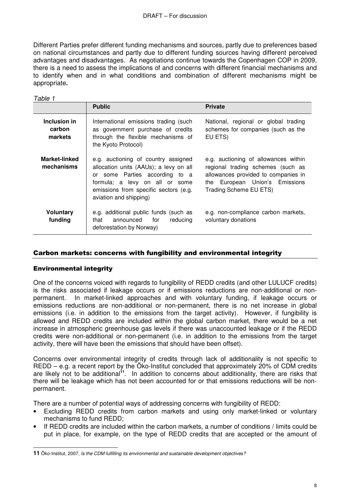#### DRAFT – For discussion

Different Parties prefer different funding mechanisms and sources, partly due to preferences based on national circumstances and partly due to different funding sources having different perceived advantages and disadvantages. As negotiations continue towards the Copenhagen COP in 2009, there is a need to assess the implications of and concerns with different financial mechanisms and to identify when and in what conditions and combination of different mechanisms might be appropriate**.**

| Table 1                            |                                                                                                                                                                                                                      |                                                                                                                                                                              |  |  |  |  |
|------------------------------------|----------------------------------------------------------------------------------------------------------------------------------------------------------------------------------------------------------------------|------------------------------------------------------------------------------------------------------------------------------------------------------------------------------|--|--|--|--|
|                                    | <b>Public</b>                                                                                                                                                                                                        | <b>Private</b>                                                                                                                                                               |  |  |  |  |
| Inclusion in<br>carbon<br>markets  | International emissions trading (such<br>as government purchase of credits<br>through the flexible mechanisms of<br>the Kyoto Protocol)                                                                              | National, regional or global trading<br>schemes for companies (such as the<br>EU ETS)                                                                                        |  |  |  |  |
| <b>Market-linked</b><br>mechanisms | e.g. auctioning of country assigned<br>allocation units (AAUs); a levy on all<br>or some Parties according to a<br>formula; a levy on all or some<br>emissions from specific sectors (e.g.<br>aviation and shipping) | e.g. auctioning of allowances within<br>regional trading schemes (such as<br>allowances provided to companies in<br>the European Union's Emissions<br>Trading Scheme EU ETS) |  |  |  |  |
| <b>Voluntary</b><br>funding        | e.g. additional public funds (such as<br>announced<br>for<br>reducing<br>that<br>deforestation by Norway)                                                                                                            | e.g. non-compliance carbon markets,<br>voluntary donations                                                                                                                   |  |  |  |  |

#### Carbon markets: concerns with fungibility and environmental integrity

#### Environmental integrity

One of the concerns voiced with regards to fungibility of REDD credits (and other LULUCF credits) is the risks associated if leakage occurs or if emissions reductions are non-additional or nonpermanent. In market-linked approaches and with voluntary funding, if leakage occurs or emissions reductions are non-additional or non-permanent, there is no net increase in global emissions (i.e. in addition to the emissions from the target activity). However, if fungibility is allowed and REDD credits are included within the global carbon market, there would be a net increase in atmospheric greenhouse gas levels if there was unaccounted leakage or if the REDD credits were non-additional or non-permanent (i.e. in addition to the emissions from the target activity, there will have been the emissions that should have been offset).

Concerns over environmental integrity of credits through lack of additionality is not specific to REDD – e.g. a recent report by the Őko-Institut concluded that approximately 20% of CDM credits are likely not to be additional<sup>11</sup>. In addition to concerns about additionality, there are risks that there will be leakage which has not been accounted for or that emissions reductions will be nonpermanent.

There are a number of potential ways of addressing concerns with fungibility of REDD:

- Excluding REDD credits from carbon markets and using only market-linked or voluntary mechanisms to fund REDD;
- If REDD credits are included within the carbon markets, a number of conditions / limits could be put in place, for example, on the type of REDD credits that are accepted or the amount of

 **11** Őko-Institut, 2007, Is the CDM fulfilling its environmental and sustainable development objectives?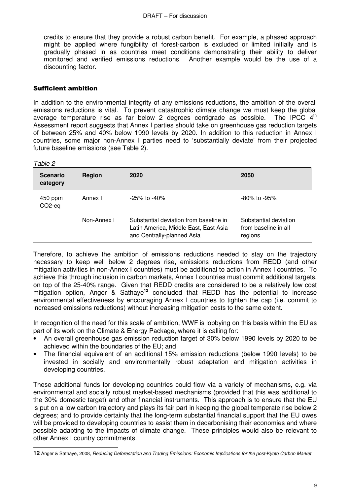credits to ensure that they provide a robust carbon benefit. For example, a phased approach might be applied where fungibility of forest-carbon is excluded or limited initially and is gradually phased in as countries meet conditions demonstrating their ability to deliver monitored and verified emissions reductions. Another example would be the use of a discounting factor.

## Sufficient ambition

In addition to the environmental integrity of any emissions reductions, the ambition of the overall emissions reductions is vital. To prevent catastrophic climate change we must keep the global average temperature rise as far below 2 degrees centigrade as possible. The IPCC  $4<sup>th</sup>$ Assessment report suggests that Annex I parties should take on greenhouse gas reduction targets of between 25% and 40% below 1990 levels by 2020. In addition to this reduction in Annex I countries, some major non-Annex I parties need to 'substantially deviate' from their projected future baseline emissions (see Table 2).

Table 2

| <b>Scenario</b><br>category    | Region      | 2020                                                                                                          | 2050                                                     |
|--------------------------------|-------------|---------------------------------------------------------------------------------------------------------------|----------------------------------------------------------|
| 450 ppm<br>CO <sub>2</sub> -eq | Annex I     | $-25\%$ to $-40\%$                                                                                            | $-80\%$ to $-95\%$                                       |
|                                | Non-Annex I | Substantial deviation from baseline in<br>Latin America, Middle East, East Asia<br>and Centrally-planned Asia | Substantial deviation<br>from baseline in all<br>regions |

Therefore, to achieve the ambition of emissions reductions needed to stay on the trajectory necessary to keep well below 2 degrees rise, emissions reductions from REDD (and other mitigation activities in non-Annex I countries) must be additional to action in Annex I countries. To achieve this through inclusion in carbon markets, Annex I countries must commit additional targets, on top of the 25-40% range. Given that REDD credits are considered to be a relatively low cost mitigation option, Anger & Sathaye**<sup>12</sup>** concluded that REDD has the potential to increase environmental effectiveness by encouraging Annex I countries to tighten the cap (i.e. commit to increased emissions reductions) without increasing mitigation costs to the same extent.

In recognition of the need for this scale of ambition, WWF is lobbying on this basis within the EU as part of its work on the Climate & Energy Package, where it is calling for:

- An overall greenhouse gas emission reduction target of 30% below 1990 levels by 2020 to be achieved within the boundaries of the EU; and
- The financial equivalent of an additional 15% emission reductions (below 1990 levels) to be invested in socially and environmentally robust adaptation and mitigation activities in developing countries.

These additional funds for developing countries could flow via a variety of mechanisms, e.g. via environmental and socially robust market-based mechanisms (provided that this was additional to the 30% domestic target) and other financial instruments. This approach is to ensure that the EU is put on a low carbon trajectory and plays its fair part in keeping the global temperate rise below 2 degrees; and to provide certainty that the long-term substantial financial support that the EU owes will be provided to developing countries to assist them in decarbonising their economies and where possible adapting to the impacts of climate change. These principles would also be relevant to other Annex I country commitments.

 **12** Anger & Sathaye, 2008, Reducing Deforestation and Trading Emissions: Economic Implications for the post-Kyoto Carbon Market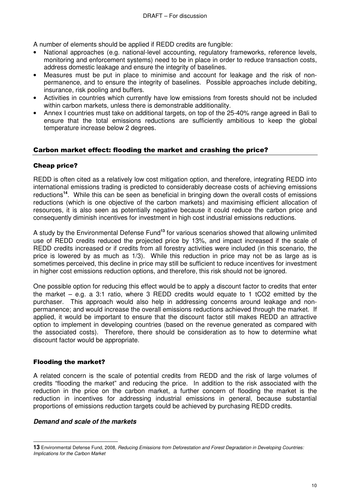A number of elements should be applied if REDD credits are fungible:

- National approaches (e.g. national-level accounting, regulatory frameworks, reference levels, monitoring and enforcement systems) need to be in place in order to reduce transaction costs, address domestic leakage and ensure the integrity of baselines.
- Measures must be put in place to minimise and account for leakage and the risk of nonpermanence, and to ensure the integrity of baselines. Possible approaches include debiting, insurance, risk pooling and buffers.
- Activities in countries which currently have low emissions from forests should not be included within carbon markets, unless there is demonstrable additionality.
- Annex I countries must take on additional targets, on top of the 25-40% range agreed in Bali to ensure that the total emissions reductions are sufficiently ambitious to keep the global temperature increase below 2 degrees.

# Carbon market effect: flooding the market and crashing the price?

## Cheap price?

REDD is often cited as a relatively low cost mitigation option, and therefore, integrating REDD into international emissions trading is predicted to considerably decrease costs of achieving emissions reductions**<sup>14</sup>**. While this can be seen as beneficial in bringing down the overall costs of emissions reductions (which is one objective of the carbon markets) and maximising efficient allocation of resources, it is also seen as potentially negative because it could reduce the carbon price and consequently diminish incentives for investment in high cost industrial emissions reductions.

A study by the Environmental Defense Fund**<sup>13</sup>** for various scenarios showed that allowing unlimited use of REDD credits reduced the projected price by 13%, and impact increased if the scale of REDD credits increased or if credits from all forestry activities were included (in this scenario, the price is lowered by as much as 1/3). While this reduction in price may not be as large as is sometimes perceived, this decline in price may still be sufficient to reduce incentives for investment in higher cost emissions reduction options, and therefore, this risk should not be ignored.

One possible option for reducing this effect would be to apply a discount factor to credits that enter the market – e.g. a 3:1 ratio, where 3 REDD credits would equate to 1 tCO2 emitted by the purchaser. This approach would also help in addressing concerns around leakage and nonpermanence; and would increase the overall emissions reductions achieved through the market. If applied, it would be important to ensure that the discount factor still makes REDD an attractive option to implement in developing countries (based on the revenue generated as compared with the associated costs). Therefore, there should be consideration as to how to determine what discount factor would be appropriate.

#### Flooding the market?

A related concern is the scale of potential credits from REDD and the risk of large volumes of credits "flooding the market" and reducing the price. In addition to the risk associated with the reduction in the price on the carbon market, a further concern of flooding the market is the reduction in incentives for addressing industrial emissions in general, because substantial proportions of emissions reduction targets could be achieved by purchasing REDD credits.

#### **Demand and scale of the markets**

 $\overline{a}$ **13** Environmental Defense Fund, 2008, Reducing Emissions from Deforestation and Forest Degradation in Developing Countries: Implications for the Carbon Market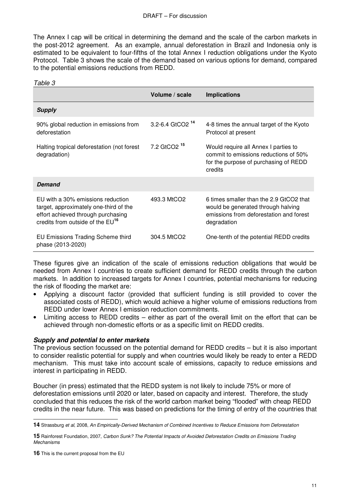#### DRAFT – For discussion

The Annex I cap will be critical in determining the demand and the scale of the carbon markets in the post-2012 agreement. As an example, annual deforestation in Brazil and Indonesia only is estimated to be equivalent to four-fifths of the total Annex I reduction obligations under the Kyoto Protocol. Table 3 shows the scale of the demand based on various options for demand, compared to the potential emissions reductions from REDD.

| Table 3                                                                                                                                                           |                             |                                                                                                                                         |
|-------------------------------------------------------------------------------------------------------------------------------------------------------------------|-----------------------------|-----------------------------------------------------------------------------------------------------------------------------------------|
|                                                                                                                                                                   | Volume / scale              | <b>Implications</b>                                                                                                                     |
| <b>Supply</b>                                                                                                                                                     |                             |                                                                                                                                         |
| 90% global reduction in emissions from<br>deforestation                                                                                                           | 3.2-6.4 GtCO2 <sup>14</sup> | 4-8 times the annual target of the Kyoto<br>Protocol at present                                                                         |
| Halting tropical deforestation (not forest<br>degradation)                                                                                                        | 7.2 GtCO2 <sup>15</sup>     | Would require all Annex I parties to<br>commit to emissions reductions of 50%<br>for the purpose of purchasing of REDD<br>credits       |
| Demand                                                                                                                                                            |                             |                                                                                                                                         |
| EU with a 30% emissions reduction<br>target, approximately one-third of the<br>effort achieved through purchasing<br>credits from outside of the EU <sup>16</sup> | 493.3 MtCO2                 | 6 times smaller than the 2.9 GtCO2 that<br>would be generated through halving<br>emissions from deforestation and forest<br>degradation |
| EU Emissions Trading Scheme third<br>phase (2013-2020)                                                                                                            | 304.5 MtCO2                 | One-tenth of the potential REDD credits                                                                                                 |

These figures give an indication of the scale of emissions reduction obligations that would be needed from Annex I countries to create sufficient demand for REDD credits through the carbon markets. In addition to increased targets for Annex I countries, potential mechanisms for reducing the risk of flooding the market are:

- Applying a discount factor (provided that sufficient funding is still provided to cover the associated costs of REDD), which would achieve a higher volume of emissions reductions from REDD under lower Annex I emission reduction commitments.
- Limiting access to REDD credits either as part of the overall limit on the effort that can be achieved through non-domestic efforts or as a specific limit on REDD credits.

#### **Supply and potential to enter markets**

The previous section focussed on the potential demand for REDD credits – but it is also important to consider realistic potential for supply and when countries would likely be ready to enter a REDD mechanism. This must take into account scale of emissions, capacity to reduce emissions and interest in participating in REDD.

Boucher (in press) estimated that the REDD system is not likely to include 75% or more of deforestation emissions until 2020 or later, based on capacity and interest. Therefore, the study concluded that this reduces the risk of the world carbon market being "flooded" with cheap REDD credits in the near future. This was based on predictions for the timing of entry of the countries that

 $\overline{a}$ 

**<sup>14</sup>** Strassburg et al, 2008, An Empirically-Derived Mechanism of Combined Incentives to Reduce Emissions from Deforestation

**<sup>15</sup>** Rainforest Foundation, 2007, Carbon Sunk? The Potential Impacts of Avoided Deforestation Credits on Emissions Trading Mechanisms

**<sup>16</sup>** This is the current proposal from the EU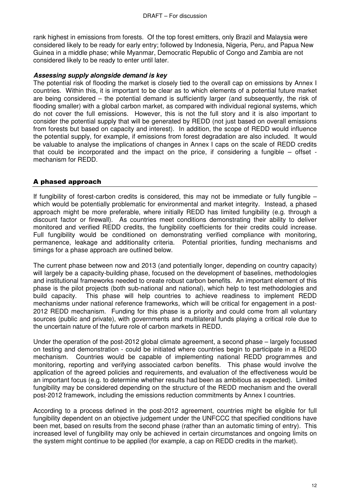rank highest in emissions from forests. Of the top forest emitters, only Brazil and Malaysia were considered likely to be ready for early entry; followed by Indonesia, Nigeria, Peru, and Papua New Guinea in a middle phase; while Myanmar, Democratic Republic of Congo and Zambia are not considered likely to be ready to enter until later.

#### **Assessing supply alongside demand is key**

The potential risk of flooding the market is closely tied to the overall cap on emissions by Annex I countries. Within this, it is important to be clear as to which elements of a potential future market are being considered – the potential demand is sufficiently larger (and subsequently, the risk of flooding smaller) with a global carbon market, as compared with individual regional systems, which do not cover the full emissions. However, this is not the full story and it is also important to consider the potential supply that will be generated by REDD (not just based on overall emissions from forests but based on capacity and interest). In addition, the scope of REDD would influence the potential supply, for example, if emissions from forest degradation are also included. It would be valuable to analyse the implications of changes in Annex I caps on the scale of REDD credits that could be incorporated and the impact on the price, if considering a fungible – offset mechanism for REDD.

# A phased approach

If fungibility of forest-carbon credits is considered, this may not be immediate or fully fungible – which would be potentially problematic for environmental and market integrity. Instead, a phased approach might be more preferable, where initially REDD has limited fungibility (e.g. through a discount factor or firewall). As countries meet conditions demonstrating their ability to deliver monitored and verified REDD credits, the fungibility coefficients for their credits could increase. Full fungibility would be conditioned on demonstrating verified compliance with monitoring, permanence, leakage and additionality criteria. Potential priorities, funding mechanisms and timings for a phase approach are outlined below.

The current phase between now and 2013 (and potentially longer, depending on country capacity) will largely be a capacity-building phase, focused on the development of baselines, methodologies and institutional frameworks needed to create robust carbon benefits. An important element of this phase is the pilot projects (both sub-national and national), which help to test methodologies and build capacity. This phase will help countries to achieve readiness to implement REDD mechanisms under national reference frameworks, which will be critical for engagement in a post-2012 REDD mechanism. Funding for this phase is a priority and could come from all voluntary sources (public and private), with governments and multilateral funds playing a critical role due to the uncertain nature of the future role of carbon markets in REDD.

Under the operation of the post-2012 global climate agreement, a second phase – largely focussed on testing and demonstration - could be initiated where countries begin to participate in a REDD mechanism. Countries would be capable of implementing national REDD programmes and monitoring, reporting and verifying associated carbon benefits. This phase would involve the application of the agreed policies and requirements, and evaluation of the effectiveness would be an important focus (e.g. to determine whether results had been as ambitious as expected). Limited fungibility may be considered depending on the structure of the REDD mechanism and the overall post-2012 framework, including the emissions reduction commitments by Annex I countries.

According to a process defined in the post-2012 agreement, countries might be eligible for full fungibility dependent on an objective judgement under the UNFCCC that specified conditions have been met, based on results from the second phase (rather than an automatic timing of entry). This increased level of fungibility may only be achieved in certain circumstances and ongoing limits on the system might continue to be applied (for example, a cap on REDD credits in the market).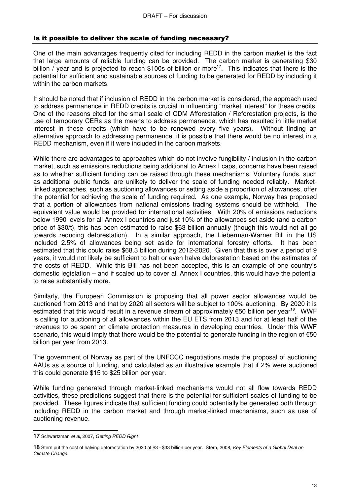# Is it possible to deliver the scale of funding necessary?

One of the main advantages frequently cited for including REDD in the carbon market is the fact that large amounts of reliable funding can be provided. The carbon market is generating \$30 billion / year and is projected to reach \$100s of billion or more**<sup>17</sup>**. This indicates that there is the potential for sufficient and sustainable sources of funding to be generated for REDD by including it within the carbon markets.

It should be noted that if inclusion of REDD in the carbon market is considered, the approach used to address permanence in REDD credits is crucial in influencing "market interest" for these credits. One of the reasons cited for the small scale of CDM Afforestation / Reforestation projects, is the use of temporary CERs as the means to address permanence, which has resulted in little market interest in these credits (which have to be renewed every five years). Without finding an alternative approach to addressing permanence, it is possible that there would be no interest in a REDD mechanism, even if it were included in the carbon markets.

While there are advantages to approaches which do not involve fungibility / inclusion in the carbon market, such as emissions reductions being additional to Annex I caps, concerns have been raised as to whether sufficient funding can be raised through these mechanisms. Voluntary funds, such as additional public funds, are unlikely to deliver the scale of funding needed reliably. Marketlinked approaches, such as auctioning allowances or setting aside a proportion of allowances, offer the potential for achieving the scale of funding required. As one example, Norway has proposed that a portion of allowances from national emissions trading systems should be withheld. The equivalent value would be provided for international activities. With 20% of emissions reductions below 1990 levels for all Annex I countries and just 10% of the allowances set aside (and a carbon price of \$30/t), this has been estimated to raise \$63 billion annually (though this would not all go towards reducing deforestation). In a similar approach, the Lieberman-Warner Bill in the US included 2.5% of allowances being set aside for international forestry efforts. It has been estimated that this could raise \$68.3 billion during 2012-2020. Given that this is over a period of 9 years, it would not likely be sufficient to halt or even halve deforestation based on the estimates of the costs of REDD. While this Bill has not been accepted, this is an example of one country's domestic legislation – and if scaled up to cover all Annex I countries, this would have the potential to raise substantially more.

Similarly, the European Commission is proposing that all power sector allowances would be auctioned from 2013 and that by 2020 all sectors will be subject to 100% auctioning. By 2020 it is estimated that this would result in a revenue stream of approximately €50 billion per year**<sup>18</sup>**. WWF is calling for auctioning of all allowances within the EU ETS from 2013 and for at least half of the revenues to be spent on climate protection measures in developing countries. Under this WWF scenario, this would imply that there would be the potential to generate funding in the region of €50 billion per year from 2013.

The government of Norway as part of the UNFCCC negotiations made the proposal of auctioning AAUs as a source of funding, and calculated as an illustrative example that if 2% were auctioned this could generate \$15 to \$25 billion per year.

While funding generated through market-linked mechanisms would not all flow towards REDD activities, these predictions suggest that there is the potential for sufficient scales of funding to be provided. These figures indicate that sufficient funding could potentially be generated both through including REDD in the carbon market and through market-linked mechanisms, such as use of auctioning revenue.

 $\overline{a}$ **17** Schwartzman et al, 2007, Getting REDD Right

**<sup>18</sup>** Stern put the cost of halving deforestation by 2020 at \$3 - \$33 billion per year. Stern, 2008, Key Elements of a Global Deal on Climate Change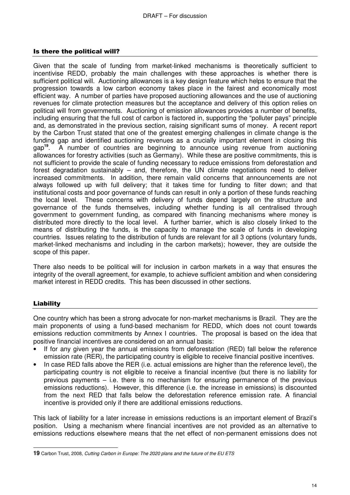#### Is there the political will?

Given that the scale of funding from market-linked mechanisms is theoretically sufficient to incentivise REDD, probably the main challenges with these approaches is whether there is sufficient political will. Auctioning allowances is a key design feature which helps to ensure that the progression towards a low carbon economy takes place in the fairest and economically most efficient way. A number of parties have proposed auctioning allowances and the use of auctioning revenues for climate protection measures but the acceptance and delivery of this option relies on political will from governments. Auctioning of emission allowances provides a number of benefits, including ensuring that the full cost of carbon is factored in, supporting the "polluter pays" principle and, as demonstrated in the previous section, raising significant sums of money. A recent report by the Carbon Trust stated that one of the greatest emerging challenges in climate change is the funding gap and identified auctioning revenues as a crucially important element in closing this gap**<sup>19</sup>**. A number of countries are beginning to announce using revenue from auctioning allowances for forestry activities (such as Germany). While these are positive commitments, this is not sufficient to provide the scale of funding necessary to reduce emissions from deforestation and forest degradation sustainably – and, therefore, the UN climate negotiations need to deliver increased commitments. In addition, there remain valid concerns that announcements are not always followed up with full delivery; that it takes time for funding to filter down; and that institutional costs and poor governance of funds can result in only a portion of these funds reaching the local level. These concerns with delivery of funds depend largely on the structure and governance of the funds themselves, including whether funding is all centralised through government to government funding, as compared with financing mechanisms where money is distributed more directly to the local level. A further barrier, which is also closely linked to the means of distributing the funds, is the capacity to manage the scale of funds in developing countries. Issues relating to the distribution of funds are relevant for all 3 options (voluntary funds, market-linked mechanisms and including in the carbon markets); however, they are outside the scope of this paper.

There also needs to be political will for inclusion in carbon markets in a way that ensures the integrity of the overall agreement, for example, to achieve sufficient ambition and when considering market interest in REDD credits. This has been discussed in other sections.

# Liability

One country which has been a strong advocate for non-market mechanisms is Brazil. They are the main proponents of using a fund-based mechanism for REDD, which does not count towards emissions reduction commitments by Annex I countries. The proposal is based on the idea that positive financial incentives are considered on an annual basis:

- If for any given year the annual emissions from deforestation (RED) fall below the reference emission rate (RER), the participating country is eligible to receive financial positive incentives.
- In case RED falls above the RER (i.e. actual emissions are higher than the reference level), the participating country is not eligible to receive a financial incentive (but there is no liability for previous payments – i.e. there is no mechanism for ensuring permanence of the previous emissions reductions). However, this difference (i.e. the increase in emissions) is discounted from the next RED that falls below the deforestation reference emission rate. A financial incentive is provided only if there are additional emissions reductions.

This lack of liability for a later increase in emissions reductions is an important element of Brazil's position. Using a mechanism where financial incentives are not provided as an alternative to emissions reductions elsewhere means that the net effect of non-permanent emissions does not

 **19** Carbon Trust, 2008, Cutting Carbon in Europe: The 2020 plans and the future of the EU ETS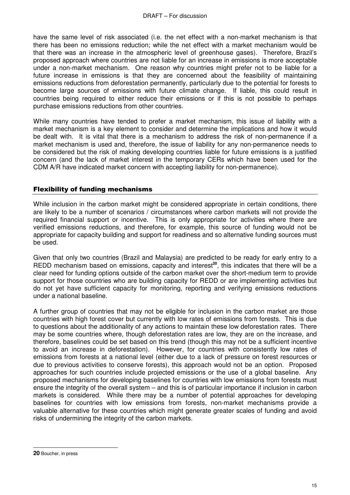have the same level of risk associated (i.e. the net effect with a non-market mechanism is that there has been no emissions reduction; while the net effect with a market mechanism would be that there was an increase in the atmospheric level of greenhouse gases). Therefore, Brazil's proposed approach where countries are not liable for an increase in emissions is more acceptable under a non-market mechanism. One reason why countries might prefer not to be liable for a future increase in emissions is that they are concerned about the feasibility of maintaining emissions reductions from deforestation permanently, particularly due to the potential for forests to become large sources of emissions with future climate change. If liable, this could result in countries being required to either reduce their emissions or if this is not possible to perhaps purchase emissions reductions from other countries.

While many countries have tended to prefer a market mechanism, this issue of liability with a market mechanism is a key element to consider and determine the implications and how it would be dealt with. It is vital that there is a mechanism to address the risk of non-permanence if a market mechanism is used and, therefore, the issue of liability for any non-permanence needs to be considered but the risk of making developing countries liable for future emissions is a justified concern (and the lack of market interest in the temporary CERs which have been used for the CDM A/R have indicated market concern with accepting liability for non-permanence).

## Flexibility of funding mechanisms

While inclusion in the carbon market might be considered appropriate in certain conditions, there are likely to be a number of scenarios / circumstances where carbon markets will not provide the required financial support or incentive. This is only appropriate for activities where there are verified emissions reductions, and therefore, for example, this source of funding would not be appropriate for capacity building and support for readiness and so alternative funding sources must be used.

Given that only two countries (Brazil and Malaysia) are predicted to be ready for early entry to a REDD mechanism based on emissions, capacity and interest**<sup>20</sup>**, this indicates that there will be a clear need for funding options outside of the carbon market over the short-medium term to provide support for those countries who are building capacity for REDD or are implementing activities but do not yet have sufficient capacity for monitoring, reporting and verifying emissions reductions under a national baseline.

A further group of countries that may not be eligible for inclusion in the carbon market are those countries with high forest cover but currently with low rates of emissions from forests. This is due to questions about the additionality of any actions to maintain these low deforestation rates. There may be some countries where, though deforestation rates are low, they are on the increase, and therefore, baselines could be set based on this trend (though this may not be a sufficient incentive to avoid an increase in deforestation). However, for countries with consistently low rates of emissions from forests at a national level (either due to a lack of pressure on forest resources or due to previous activities to conserve forests), this approach would not be an option. Proposed approaches for such countries include projected emissions or the use of a global baseline. Any proposed mechanisms for developing baselines for countries with low emissions from forests must ensure the integrity of the overall system – and this is of particular importance if inclusion in carbon markets is considered. While there may be a number of potential approaches for developing baselines for countries with low emissions from forests, non-market mechanisms provide a valuable alternative for these countries which might generate greater scales of funding and avoid risks of undermining the integrity of the carbon markets.

 **20** Boucher, in press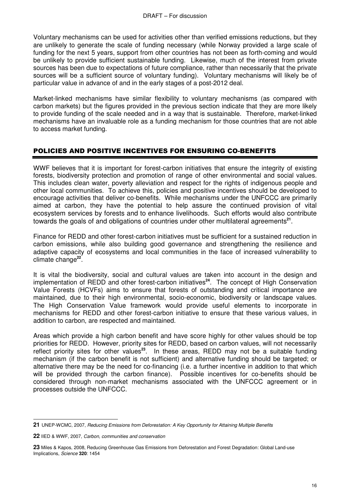Voluntary mechanisms can be used for activities other than verified emissions reductions, but they are unlikely to generate the scale of funding necessary (while Norway provided a large scale of funding for the next 5 years, support from other countries has not been as forth-coming and would be unlikely to provide sufficient sustainable funding. Likewise, much of the interest from private sources has been due to expectations of future compliance, rather than necessarily that the private sources will be a sufficient source of voluntary funding). Voluntary mechanisms will likely be of particular value in advance of and in the early stages of a post-2012 deal.

Market-linked mechanisms have similar flexibility to voluntary mechanisms (as compared with carbon markets) but the figures provided in the previous section indicate that they are more likely to provide funding of the scale needed and in a way that is sustainable. Therefore, market-linked mechanisms have an invaluable role as a funding mechanism for those countries that are not able to access market funding.

# POLICIES AND POSITIVE INCENTIVES FOR ENSURING CO-BENEFITS

WWF believes that it is important for forest-carbon initiatives that ensure the integrity of existing forests, biodiversity protection and promotion of range of other environmental and social values. This includes clean water, poverty alleviation and respect for the rights of indigenous people and other local communities. To achieve this, policies and positive incentives should be developed to encourage activities that deliver co-benefits. While mechanisms under the UNFCCC are primarily aimed at carbon, they have the potential to help assure the continued provision of vital ecosystem services by forests and to enhance livelihoods. Such efforts would also contribute towards the goals of and obligations of countries under other multilateral agreements<sup>21</sup>.

Finance for REDD and other forest-carbon initiatives must be sufficient for a sustained reduction in carbon emissions, while also building good governance and strengthening the resilience and adaptive capacity of ecosystems and local communities in the face of increased vulnerability to climate change**<sup>22</sup>** .

It is vital the biodiversity, social and cultural values are taken into account in the design and implementation of REDD and other forest-carbon initiatives**<sup>24</sup>**. The concept of High Conservation Value Forests (HCVFs) aims to ensure that forests of outstanding and critical importance are maintained, due to their high environmental, socio-economic, biodiversity or landscape values. The High Conservation Value framework would provide useful elements to incorporate in mechanisms for REDD and other forest-carbon initiative to ensure that these various values, in addition to carbon, are respected and maintained.

Areas which provide a high carbon benefit and have score highly for other values should be top priorities for REDD. However, priority sites for REDD, based on carbon values, will not necessarily reflect priority sites for other values**<sup>23</sup>**. In these areas, REDD may not be a suitable funding mechanism (if the carbon benefit is not sufficient) and alternative funding should be targeted; or alternative there may be the need for co-financing (i.e. a further incentive in addition to that which will be provided through the carbon finance). Possible incentives for co-benefits should be considered through non-market mechanisms associated with the UNFCCC agreement or in processes outside the UNFCCC.

 $\overline{a}$ **21** UNEP-WCMC, 2007, Reducing Emissions from Deforestation: A Key Opportunity for Attaining Multiple Benefits

**<sup>22</sup>** IIED & WWF, 2007, Carbon, communities and conservation

**<sup>23</sup>** Miles & Kapos, 2008, Reducing Greenhouse Gas Emissions from Deforestation and Forest Degradation: Global Land-use Implications, Science **320**: 1454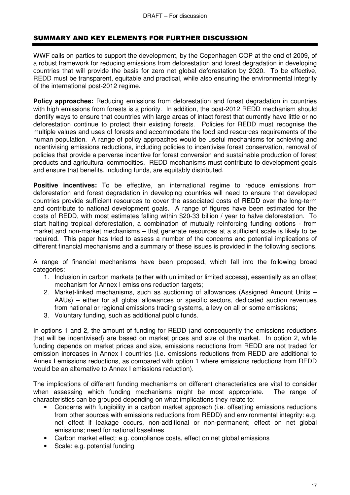# SUMMARY AND KEY ELEMENTS FOR FURTHER DISCUSSION

WWF calls on parties to support the development, by the Copenhagen COP at the end of 2009, of a robust framework for reducing emissions from deforestation and forest degradation in developing countries that will provide the basis for zero net global deforestation by 2020. To be effective, REDD must be transparent, equitable and practical, while also ensuring the environmental integrity of the international post-2012 regime.

**Policy approaches:** Reducing emissions from deforestation and forest degradation in countries with high emissions from forests is a priority. In addition, the post-2012 REDD mechanism should identify ways to ensure that countries with large areas of intact forest that currently have little or no deforestation continue to protect their existing forests. Policies for REDD must recognise the multiple values and uses of forests and accommodate the food and resources requirements of the human population. A range of policy approaches would be useful mechanisms for achieving and incentivising emissions reductions, including policies to incentivise forest conservation, removal of policies that provide a perverse incentive for forest conversion and sustainable production of forest products and agricultural commodities. REDD mechanisms must contribute to development goals and ensure that benefits, including funds, are equitably distributed.

**Positive incentives:** To be effective, an international regime to reduce emissions from deforestation and forest degradation in developing countries will need to ensure that developed countries provide sufficient resources to cover the associated costs of REDD over the long-term and contribute to national development goals. A range of figures have been estimated for the costs of REDD, with most estimates falling within \$20-33 billion / year to halve deforestation. To start halting tropical deforestation, a combination of mutually reinforcing funding options - from market and non-market mechanisms – that generate resources at a sufficient scale is likely to be required. This paper has tried to assess a number of the concerns and potential implications of different financial mechanisms and a summary of these issues is provided in the following sections.

A range of financial mechanisms have been proposed, which fall into the following broad categories:

- 1. Inclusion in carbon markets (either with unlimited or limited access), essentially as an offset mechanism for Annex I emissions reduction targets;
- 2. Market-linked mechanisms, such as auctioning of allowances (Assigned Amount Units AAUs) – either for all global allowances or specific sectors, dedicated auction revenues from national or regional emissions trading systems, a levy on all or some emissions;
- 3. Voluntary funding, such as additional public funds.

In options 1 and 2, the amount of funding for REDD (and consequently the emissions reductions that will be incentivised) are based on market prices and size of the market. In option 2, while funding depends on market prices and size, emissions reductions from REDD are not traded for emission increases in Annex I countries (i.e. emissions reductions from REDD are additional to Annex I emissions reductions, as compared with option 1 where emissions reductions from REDD would be an alternative to Annex I emissions reduction).

The implications of different funding mechanisms on different characteristics are vital to consider when assessing which funding mechanisms might be most appropriate. The range of characteristics can be grouped depending on what implications they relate to:

- Concerns with fungibility in a carbon market approach (i.e. offsetting emissions reductions from other sources with emissions reductions from REDD) and environmental integrity: e.g. net effect if leakage occurs, non-additional or non-permanent; effect on net global emissions; need for national baselines
- Carbon market effect: e.g. compliance costs, effect on net global emissions
- Scale: e.g. potential funding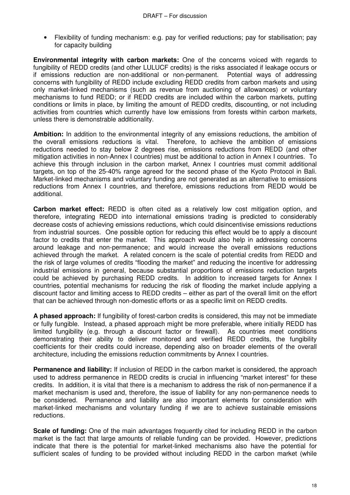• Flexibility of funding mechanism: e.g. pay for verified reductions; pay for stabilisation; pay for capacity building

**Environmental integrity with carbon markets:** One of the concerns voiced with regards to fungibility of REDD credits (and other LULUCF credits) is the risks associated if leakage occurs or if emissions reduction are non-additional or non-permanent. Potential ways of addressing concerns with fungibility of REDD include excluding REDD credits from carbon markets and using only market-linked mechanisms (such as revenue from auctioning of allowances) or voluntary mechanisms to fund REDD; or if REDD credits are included within the carbon markets, putting conditions or limits in place, by limiting the amount of REDD credits, discounting, or not including activities from countries which currently have low emissions from forests within carbon markets, unless there is demonstrable additionality.

**Ambition:** In addition to the environmental integrity of any emissions reductions, the ambition of the overall emissions reductions is vital. Therefore, to achieve the ambition of emissions reductions needed to stay below 2 degrees rise, emissions reductions from REDD (and other mitigation activities in non-Annex I countries) must be additional to action in Annex I countries. To achieve this through inclusion in the carbon market, Annex I countries must commit additional targets, on top of the 25-40% range agreed for the second phase of the Kyoto Protocol in Bali. Market-linked mechanisms and voluntary funding are not generated as an alternative to emissions reductions from Annex I countries, and therefore, emissions reductions from REDD would be additional.

**Carbon market effect:** REDD is often cited as a relatively low cost mitigation option, and therefore, integrating REDD into international emissions trading is predicted to considerably decrease costs of achieving emissions reductions, which could disincentivise emissions reductions from industrial sources. One possible option for reducing this effect would be to apply a discount factor to credits that enter the market. This approach would also help in addressing concerns around leakage and non-permanence; and would increase the overall emissions reductions achieved through the market. A related concern is the scale of potential credits from REDD and the risk of large volumes of credits "flooding the market" and reducing the incentive for addressing industrial emissions in general, because substantial proportions of emissions reduction targets could be achieved by purchasing REDD credits. In addition to increased targets for Annex I countries, potential mechanisms for reducing the risk of flooding the market include applying a discount factor and limiting access to REDD credits – either as part of the overall limit on the effort that can be achieved through non-domestic efforts or as a specific limit on REDD credits.

**A phased approach:** If fungibility of forest-carbon credits is considered, this may not be immediate or fully fungible. Instead, a phased approach might be more preferable, where initially REDD has limited fungibility (e.g. through a discount factor or firewall). As countries meet conditions demonstrating their ability to deliver monitored and verified REDD credits, the fungibility coefficients for their credits could increase, depending also on broader elements of the overall architecture, including the emissions reduction commitments by Annex I countries.

**Permanence and liability:** If inclusion of REDD in the carbon market is considered, the approach used to address permanence in REDD credits is crucial in influencing "market interest" for these credits. In addition, it is vital that there is a mechanism to address the risk of non-permanence if a market mechanism is used and, therefore, the issue of liability for any non-permanence needs to be considered. Permanence and liability are also important elements for consideration with market-linked mechanisms and voluntary funding if we are to achieve sustainable emissions reductions.

**Scale of funding:** One of the main advantages frequently cited for including REDD in the carbon market is the fact that large amounts of reliable funding can be provided. However, predictions indicate that there is the potential for market-linked mechanisms also have the potential for sufficient scales of funding to be provided without including REDD in the carbon market (while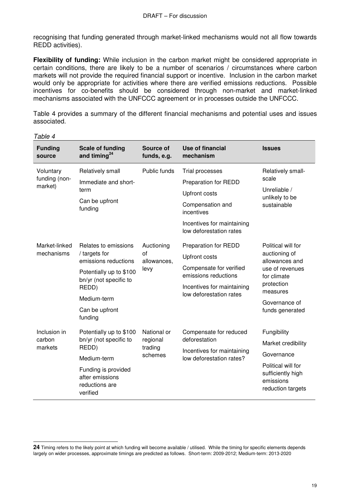recognising that funding generated through market-linked mechanisms would not all flow towards REDD activities).

**Flexibility of funding:** While inclusion in the carbon market might be considered appropriate in certain conditions, there are likely to be a number of scenarios / circumstances where carbon markets will not provide the required financial support or incentive. Inclusion in the carbon market would only be appropriate for activities where there are verified emissions reductions. Possible incentives for co-benefits should be considered through non-market and market-linked mechanisms associated with the UNFCCC agreement or in processes outside the UNFCCC.

Table 4 provides a summary of the different financial mechanisms and potential uses and issues associated.

| <b>Funding</b><br>source              | <b>Scale of funding</b><br>and timing $^{24}$                                                                                                                           | Source of<br>funds, e.g.                      | Use of financial<br>mechanism                                                                                                                                   | <b>Issues</b>                                                                                                                                         |
|---------------------------------------|-------------------------------------------------------------------------------------------------------------------------------------------------------------------------|-----------------------------------------------|-----------------------------------------------------------------------------------------------------------------------------------------------------------------|-------------------------------------------------------------------------------------------------------------------------------------------------------|
| Voluntary<br>funding (non-<br>market) | Relatively small<br>Immediate and short-<br>term<br>Can be upfront<br>funding                                                                                           | Public funds                                  | Trial processes<br>Preparation for REDD<br><b>Upfront costs</b><br>Compensation and<br>incentives<br>Incentives for maintaining<br>low deforestation rates      | Relatively small-<br>scale<br>Unreliable /<br>unlikely to be<br>sustainable                                                                           |
| Market-linked<br>mechanisms           | Relates to emissions<br>/ targets for<br>emissions reductions<br>Potentially up to \$100<br>bn/yr (not specific to<br>REDD)<br>Medium-term<br>Can be upfront<br>funding | Auctioning<br>of<br>allowances,<br>levy       | <b>Preparation for REDD</b><br><b>Upfront costs</b><br>Compensate for verified<br>emissions reductions<br>Incentives for maintaining<br>low deforestation rates | Political will for<br>auctioning of<br>allowances and<br>use of revenues<br>for climate<br>protection<br>measures<br>Governance of<br>funds generated |
| Inclusion in<br>carbon<br>markets     | Potentially up to \$100<br>bn/yr (not specific to<br>REDD)<br>Medium-term<br>Funding is provided<br>after emissions<br>reductions are<br>verified                       | National or<br>regional<br>trading<br>schemes | Compensate for reduced<br>deforestation<br>Incentives for maintaining<br>low deforestation rates?                                                               | Fungibility<br>Market credibility<br>Governance<br>Political will for<br>sufficiently high<br>emissions<br>reduction targets                          |

Table 4

 $\overline{a}$ **24** Timing refers to the likely point at which funding will become available / utilised. While the timing for specific elements depends largely on wider processes, approximate timings are predicted as follows. Short-term: 2009-2012; Medium-term: 2013-2020